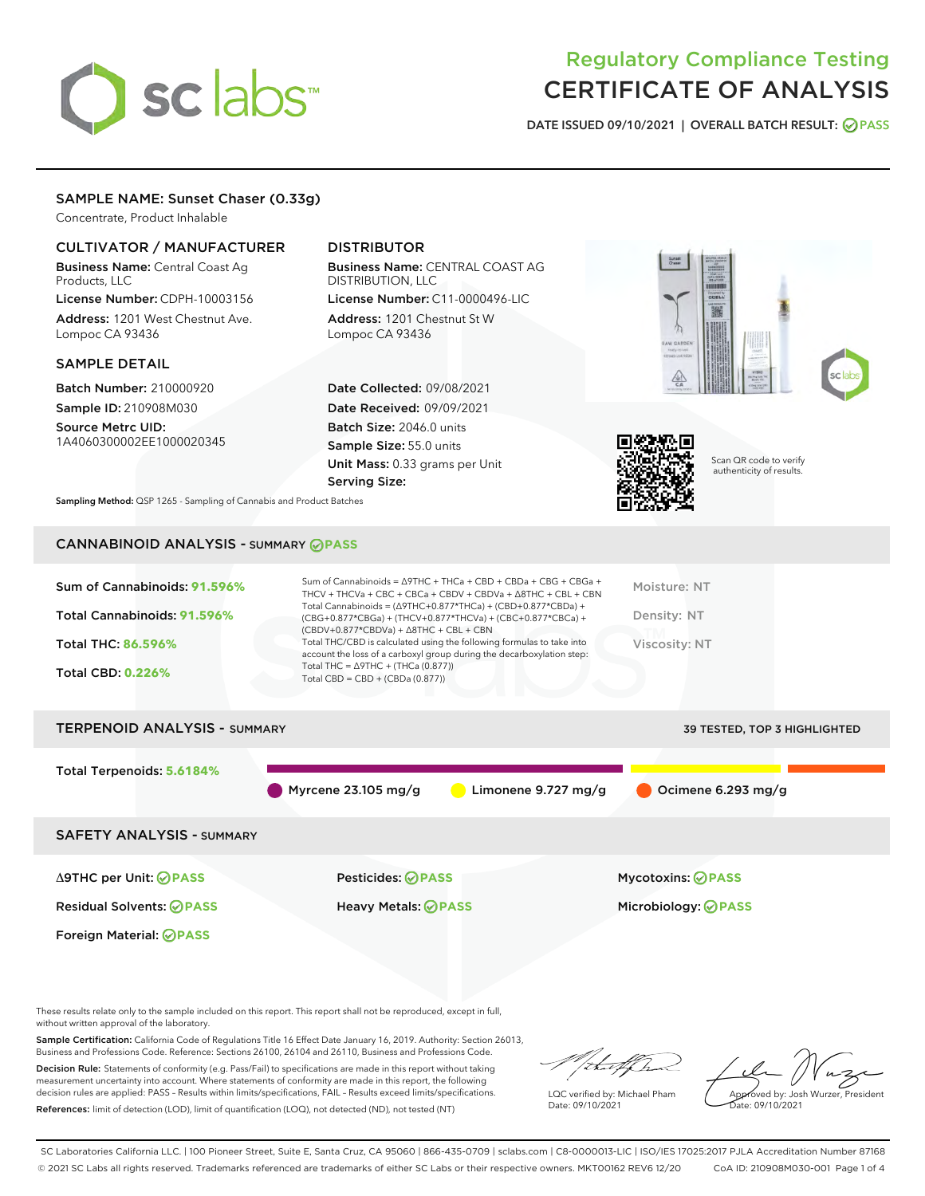# sclabs<sup>\*</sup>

# Regulatory Compliance Testing CERTIFICATE OF ANALYSIS

DATE ISSUED 09/10/2021 | OVERALL BATCH RESULT: @ PASS

### SAMPLE NAME: Sunset Chaser (0.33g)

Concentrate, Product Inhalable

#### CULTIVATOR / MANUFACTURER

Business Name: Central Coast Ag Products, LLC

License Number: CDPH-10003156 Address: 1201 West Chestnut Ave. Lompoc CA 93436

#### SAMPLE DETAIL

Batch Number: 210000920 Sample ID: 210908M030

Source Metrc UID: 1A4060300002EE1000020345

## DISTRIBUTOR

Business Name: CENTRAL COAST AG DISTRIBUTION, LLC License Number: C11-0000496-LIC

Address: 1201 Chestnut St W Lompoc CA 93436

Date Collected: 09/08/2021 Date Received: 09/09/2021 Batch Size: 2046.0 units Sample Size: 55.0 units Unit Mass: 0.33 grams per Unit Serving Size:





Scan QR code to verify authenticity of results.

Sampling Method: QSP 1265 - Sampling of Cannabis and Product Batches

# CANNABINOID ANALYSIS - SUMMARY **PASS**

| Sum of Cannabinoids: 91.596%<br>Total Cannabinoids: 91.596% | Sum of Cannabinoids = $\triangle$ 9THC + THCa + CBD + CBDa + CBG + CBGa +<br>THCV + THCVa + CBC + CBCa + CBDV + CBDVa + $\Delta$ 8THC + CBL + CBN<br>Total Cannabinoids = $(\Delta$ 9THC+0.877*THCa) + (CBD+0.877*CBDa) +<br>(CBG+0.877*CBGa) + (THCV+0.877*THCVa) + (CBC+0.877*CBCa) +<br>$(CBDV+0.877*CBDVa) + \Delta 8THC + CBL + CBN$ | Moisture: NT<br>Density: NT         |
|-------------------------------------------------------------|-------------------------------------------------------------------------------------------------------------------------------------------------------------------------------------------------------------------------------------------------------------------------------------------------------------------------------------------|-------------------------------------|
| <b>Total THC: 86.596%</b>                                   | Total THC/CBD is calculated using the following formulas to take into<br>account the loss of a carboxyl group during the decarboxylation step:                                                                                                                                                                                            | Viscosity: NT                       |
| <b>Total CBD: 0.226%</b>                                    | Total THC = $\triangle$ 9THC + (THCa (0.877))<br>Total CBD = $CBD + (CBDa (0.877))$                                                                                                                                                                                                                                                       |                                     |
| <b>TERPENOID ANALYSIS - SUMMARY</b>                         |                                                                                                                                                                                                                                                                                                                                           | <b>39 TESTED, TOP 3 HIGHLIGHTED</b> |

Total Terpenoids: **5.6184%** Myrcene 23.105 mg/g  $\bigcirc$  Limonene 9.727 mg/g  $\bigcirc$  Ocimene 6.293 mg/g SAFETY ANALYSIS - SUMMARY Δ9THC per Unit: **PASS** Pesticides: **PASS** Mycotoxins: **PASS**

Foreign Material: **PASS**

Residual Solvents: **PASS** Heavy Metals: **PASS** Microbiology: **PASS**

These results relate only to the sample included on this report. This report shall not be reproduced, except in full, without written approval of the laboratory.

Sample Certification: California Code of Regulations Title 16 Effect Date January 16, 2019. Authority: Section 26013, Business and Professions Code. Reference: Sections 26100, 26104 and 26110, Business and Professions Code.

Decision Rule: Statements of conformity (e.g. Pass/Fail) to specifications are made in this report without taking measurement uncertainty into account. Where statements of conformity are made in this report, the following decision rules are applied: PASS – Results within limits/specifications, FAIL – Results exceed limits/specifications. References: limit of detection (LOD), limit of quantification (LOQ), not detected (ND), not tested (NT)

:t.aff h

LQC verified by: Michael Pham Date: 09/10/2021

Approved by: Josh Wurzer, President ate: 09/10/2021

SC Laboratories California LLC. | 100 Pioneer Street, Suite E, Santa Cruz, CA 95060 | 866-435-0709 | sclabs.com | C8-0000013-LIC | ISO/IES 17025:2017 PJLA Accreditation Number 87168 © 2021 SC Labs all rights reserved. Trademarks referenced are trademarks of either SC Labs or their respective owners. MKT00162 REV6 12/20 CoA ID: 210908M030-001 Page 1 of 4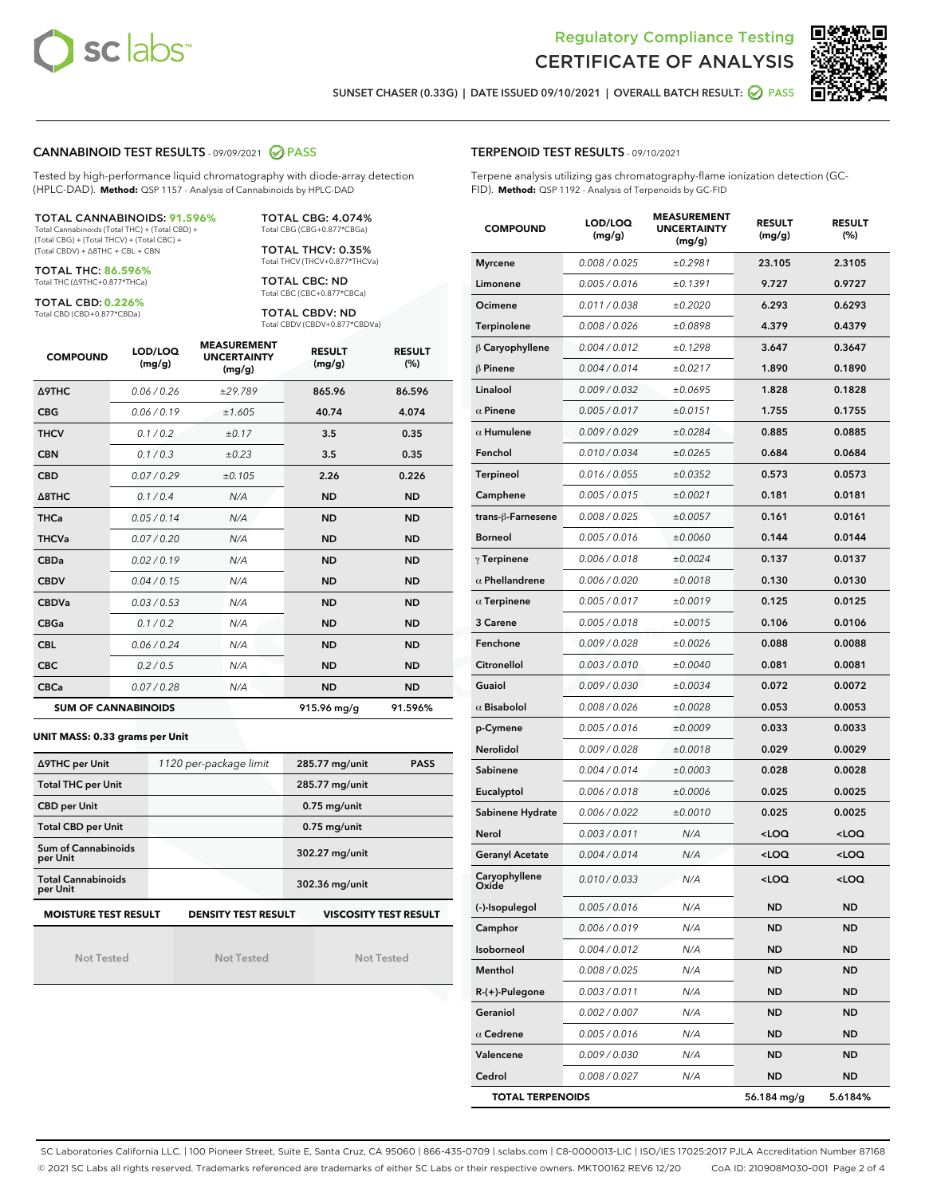



SUNSET CHASER (0.33G) | DATE ISSUED 09/10/2021 | OVERALL BATCH RESULT: @ PASS

#### CANNABINOID TEST RESULTS - 09/09/2021 2 PASS

Tested by high-performance liquid chromatography with diode-array detection (HPLC-DAD). **Method:** QSP 1157 - Analysis of Cannabinoids by HPLC-DAD

#### TOTAL CANNABINOIDS: **91.596%**

Total Cannabinoids (Total THC) + (Total CBD) + (Total CBG) + (Total THCV) + (Total CBC) + (Total CBDV) + ∆8THC + CBL + CBN

TOTAL THC: **86.596%** Total THC (∆9THC+0.877\*THCa)

TOTAL CBD: **0.226%**

Total CBD (CBD+0.877\*CBDa)

TOTAL CBG: 4.074% Total CBG (CBG+0.877\*CBGa)

TOTAL THCV: 0.35% Total THCV (THCV+0.877\*THCVa)

TOTAL CBC: ND Total CBC (CBC+0.877\*CBCa)

TOTAL CBDV: ND Total CBDV (CBDV+0.877\*CBDVa)

| <b>COMPOUND</b>  | LOD/LOQ<br>(mg/g)          | <b>MEASUREMENT</b><br><b>UNCERTAINTY</b><br>(mg/g) | <b>RESULT</b><br>(mg/g) | <b>RESULT</b><br>(%) |
|------------------|----------------------------|----------------------------------------------------|-------------------------|----------------------|
| Δ9THC            | 0.06/0.26                  | ±29.789                                            | 865.96                  | 86.596               |
| <b>CBG</b>       | 0.06/0.19                  | ±1.605                                             | 40.74                   | 4.074                |
| <b>THCV</b>      | 0.1/0.2                    | ±0.17                                              | 3.5                     | 0.35                 |
| <b>CBN</b>       | 0.1/0.3                    | ±0.23                                              | 3.5                     | 0.35                 |
| <b>CBD</b>       | 0.07/0.29                  | ±0.105                                             | 2.26                    | 0.226                |
| $\triangle$ 8THC | 0.1/0.4                    | N/A                                                | <b>ND</b>               | <b>ND</b>            |
| <b>THCa</b>      | 0.05/0.14                  | N/A                                                | <b>ND</b>               | <b>ND</b>            |
| <b>THCVa</b>     | 0.07 / 0.20                | N/A                                                | <b>ND</b>               | <b>ND</b>            |
| <b>CBDa</b>      | 0.02/0.19                  | N/A                                                | <b>ND</b>               | <b>ND</b>            |
| <b>CBDV</b>      | 0.04 / 0.15                | N/A                                                | <b>ND</b>               | <b>ND</b>            |
| <b>CBDVa</b>     | 0.03/0.53                  | N/A                                                | <b>ND</b>               | <b>ND</b>            |
| <b>CBGa</b>      | 0.1/0.2                    | N/A                                                | <b>ND</b>               | <b>ND</b>            |
| <b>CBL</b>       | 0.06 / 0.24                | N/A                                                | <b>ND</b>               | <b>ND</b>            |
| <b>CBC</b>       | 0.2 / 0.5                  | N/A                                                | <b>ND</b>               | <b>ND</b>            |
| <b>CBCa</b>      | 0.07/0.28                  | N/A                                                | <b>ND</b>               | <b>ND</b>            |
|                  | <b>SUM OF CANNABINOIDS</b> |                                                    | 915.96 mg/g             | 91.596%              |

#### **UNIT MASS: 0.33 grams per Unit**

| ∆9THC per Unit                        | 1120 per-package limit     | 285.77 mg/unit<br><b>PASS</b> |  |  |
|---------------------------------------|----------------------------|-------------------------------|--|--|
| <b>Total THC per Unit</b>             |                            | 285.77 mg/unit                |  |  |
| <b>CBD per Unit</b>                   |                            | $0.75$ mg/unit                |  |  |
| <b>Total CBD per Unit</b>             |                            | $0.75$ mg/unit                |  |  |
| Sum of Cannabinoids<br>per Unit       |                            | 302.27 mg/unit                |  |  |
| <b>Total Cannabinoids</b><br>per Unit |                            | 302.36 mg/unit                |  |  |
| <b>MOISTURE TEST RESULT</b>           | <b>DENSITY TEST RESULT</b> | <b>VISCOSITY TEST RESULT</b>  |  |  |

Not Tested

Not Tested

Not Tested

#### TERPENOID TEST RESULTS - 09/10/2021

Terpene analysis utilizing gas chromatography-flame ionization detection (GC-FID). **Method:** QSP 1192 - Analysis of Terpenoids by GC-FID

| <b>COMPOUND</b>         | LOD/LOQ<br>(mg/g) | <b>MEASUREMENT</b><br><b>UNCERTAINTY</b><br>(mg/g) | <b>RESULT</b><br>(mg/g)                         | <b>RESULT</b><br>(%) |
|-------------------------|-------------------|----------------------------------------------------|-------------------------------------------------|----------------------|
| <b>Myrcene</b>          | 0.008 / 0.025     | ±0.2981                                            | 23.105                                          | 2.3105               |
| Limonene                | 0.005 / 0.016     | ±0.1391                                            | 9.727                                           | 0.9727               |
| Ocimene                 | 0.011 / 0.038     | ±0.2020                                            | 6.293                                           | 0.6293               |
| Terpinolene             | 0.008 / 0.026     | ±0.0898                                            | 4.379                                           | 0.4379               |
| $\beta$ Caryophyllene   | 0.004 / 0.012     | ±0.1298                                            | 3.647                                           | 0.3647               |
| $\beta$ Pinene          | 0.004 / 0.014     | ±0.0217                                            | 1.890                                           | 0.1890               |
| Linalool                | 0.009 / 0.032     | ±0.0695                                            | 1.828                                           | 0.1828               |
| $\alpha$ Pinene         | 0.005 / 0.017     | ±0.0151                                            | 1.755                                           | 0.1755               |
| $\alpha$ Humulene       | 0.009 / 0.029     | ±0.0284                                            | 0.885                                           | 0.0885               |
| Fenchol                 | 0.010 / 0.034     | ±0.0265                                            | 0.684                                           | 0.0684               |
| <b>Terpineol</b>        | 0.016 / 0.055     | ±0.0352                                            | 0.573                                           | 0.0573               |
| Camphene                | 0.005 / 0.015     | ±0.0021                                            | 0.181                                           | 0.0181               |
| trans-ß-Farnesene       | 0.008 / 0.025     | ±0.0057                                            | 0.161                                           | 0.0161               |
| <b>Borneol</b>          | 0.005 / 0.016     | ±0.0060                                            | 0.144                                           | 0.0144               |
| $\gamma$ Terpinene      | 0.006 / 0.018     | ±0.0024                                            | 0.137                                           | 0.0137               |
| $\alpha$ Phellandrene   | 0.006 / 0.020     | ±0.0018                                            | 0.130                                           | 0.0130               |
| $\alpha$ Terpinene      | 0.005 / 0.017     | ±0.0019                                            | 0.125                                           | 0.0125               |
| 3 Carene                | 0.005 / 0.018     | ±0.0015                                            | 0.106                                           | 0.0106               |
| Fenchone                | 0.009 / 0.028     | ±0.0026                                            | 0.088                                           | 0.0088               |
| Citronellol             | 0.003 / 0.010     | ±0.0040                                            | 0.081                                           | 0.0081               |
| Guaiol                  | 0.009 / 0.030     | ±0.0034                                            | 0.072                                           | 0.0072               |
| $\alpha$ Bisabolol      | 0.008 / 0.026     | ±0.0028                                            | 0.053                                           | 0.0053               |
| p-Cymene                | 0.005 / 0.016     | ±0.0009                                            | 0.033                                           | 0.0033               |
| Nerolidol               | 0.009 / 0.028     | ±0.0018                                            | 0.029                                           | 0.0029               |
| Sabinene                | 0.004 / 0.014     | ±0.0003                                            | 0.028                                           | 0.0028               |
| Eucalyptol              | 0.006 / 0.018     | ±0.0006                                            | 0.025                                           | 0.0025               |
| Sabinene Hydrate        | 0.006 / 0.022     | ±0.0010                                            | 0.025                                           | 0.0025               |
| Nerol                   | 0.003 / 0.011     | N/A                                                | <loq< th=""><th><loq< th=""></loq<></th></loq<> | <loq< th=""></loq<>  |
| <b>Geranyl Acetate</b>  | 0.004 / 0.014     | N/A                                                | <loq< th=""><th><loq< th=""></loq<></th></loq<> | <loq< th=""></loq<>  |
| Caryophyllene           | 0.010 / 0.033     | N/A                                                | <loq< th=""><th><loq< th=""></loq<></th></loq<> | <loq< th=""></loq<>  |
| (-)-Isopulegol          | 0.005 / 0.016     | N/A                                                | ND                                              | ND                   |
| Camphor                 | 0.006 / 0.019     | N/A                                                | ND                                              | ND                   |
| Isoborneol              | 0.004 / 0.012     | N/A                                                | ND                                              | <b>ND</b>            |
| Menthol                 | 0.008 / 0.025     | N/A                                                | ND                                              | ND                   |
| R-(+)-Pulegone          | 0.003 / 0.011     | N/A                                                | ND                                              | ND                   |
| Geraniol                | 0.002 / 0.007     | N/A                                                | ND                                              | <b>ND</b>            |
| $\alpha$ Cedrene        | 0.005 / 0.016     | N/A                                                | ND                                              | ND                   |
| Valencene               | 0.009 / 0.030     | N/A                                                | ND                                              | ND                   |
| Cedrol                  | 0.008 / 0.027     | N/A                                                | ND                                              | ND                   |
| <b>TOTAL TERPENOIDS</b> |                   |                                                    | 56.184 mg/g                                     | 5.6184%              |

SC Laboratories California LLC. | 100 Pioneer Street, Suite E, Santa Cruz, CA 95060 | 866-435-0709 | sclabs.com | C8-0000013-LIC | ISO/IES 17025:2017 PJLA Accreditation Number 87168 © 2021 SC Labs all rights reserved. Trademarks referenced are trademarks of either SC Labs or their respective owners. MKT00162 REV6 12/20 CoA ID: 210908M030-001 Page 2 of 4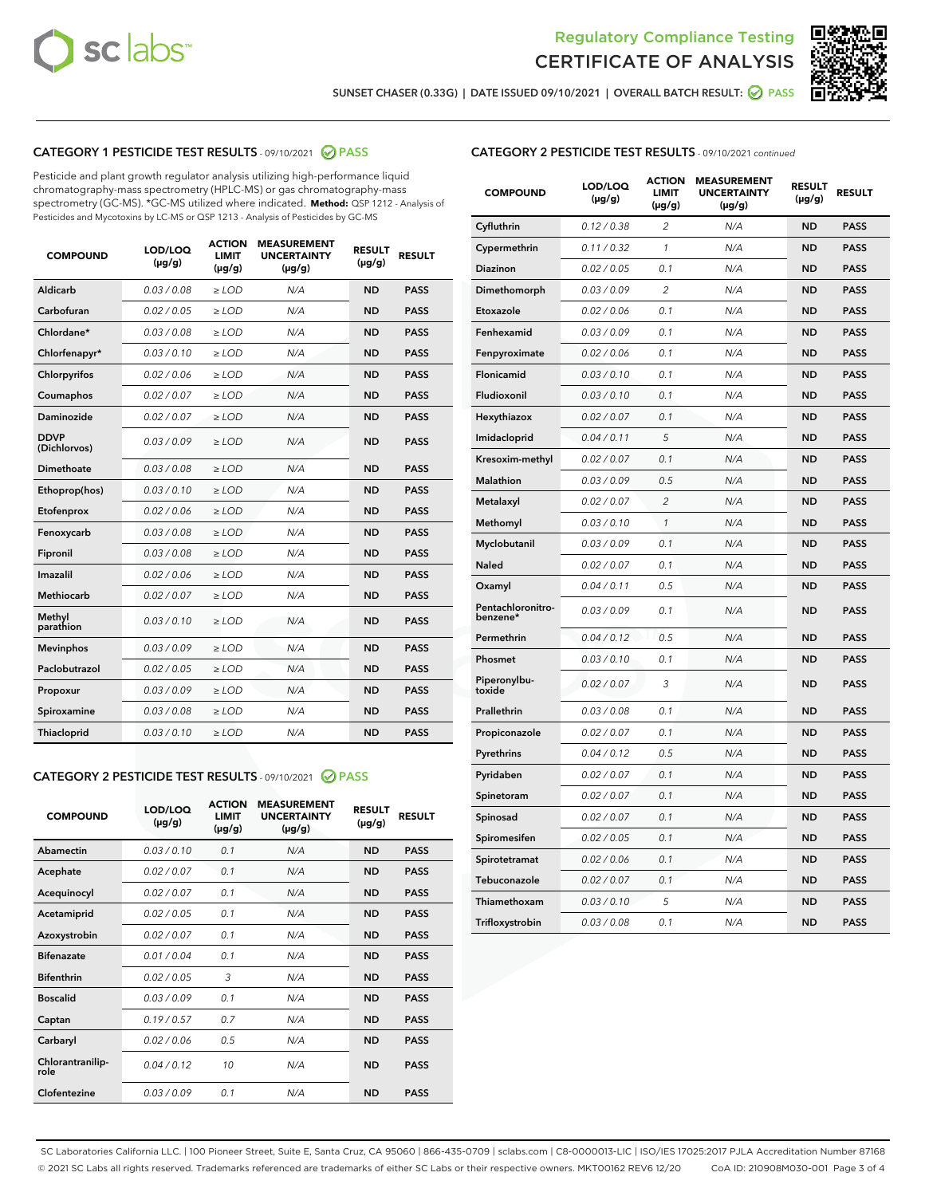



SUNSET CHASER (0.33G) | DATE ISSUED 09/10/2021 | OVERALL BATCH RESULT: @ PASS

# CATEGORY 1 PESTICIDE TEST RESULTS - 09/10/2021 2 PASS

Pesticide and plant growth regulator analysis utilizing high-performance liquid chromatography-mass spectrometry (HPLC-MS) or gas chromatography-mass spectrometry (GC-MS). \*GC-MS utilized where indicated. **Method:** QSP 1212 - Analysis of Pesticides and Mycotoxins by LC-MS or QSP 1213 - Analysis of Pesticides by GC-MS

| 0.03 / 0.08<br>Aldicarb<br>$\ge$ LOD<br><b>ND</b><br><b>PASS</b><br>N/A<br>Carbofuran<br><b>ND</b><br><b>PASS</b><br>0.02 / 0.05<br>$\ge$ LOD<br>N/A<br>Chlordane*<br>0.03 / 0.08<br>N/A<br><b>ND</b><br><b>PASS</b><br>$\ge$ LOD<br>0.03/0.10<br><b>PASS</b><br>Chlorfenapyr*<br>$\ge$ LOD<br>N/A<br><b>ND</b><br>N/A<br><b>ND</b><br><b>PASS</b><br>Chlorpyrifos<br>0.02 / 0.06<br>$\ge$ LOD<br>0.02 / 0.07<br>N/A<br><b>PASS</b><br>Coumaphos<br>$>$ LOD<br><b>ND</b><br><b>Daminozide</b><br>0.02 / 0.07<br>$\ge$ LOD<br>N/A<br><b>ND</b><br><b>PASS</b><br><b>DDVP</b><br>0.03/0.09<br>N/A<br>$\ge$ LOD<br><b>ND</b><br><b>PASS</b><br>(Dichlorvos)<br>Dimethoate<br>0.03 / 0.08<br>$\ge$ LOD<br>N/A<br><b>ND</b><br><b>PASS</b><br>0.03/0.10<br><b>ND</b><br><b>PASS</b><br>Ethoprop(hos)<br>$\ge$ LOD<br>N/A<br>0.02 / 0.06<br>$\ge$ LOD<br>N/A<br><b>ND</b><br><b>PASS</b><br>Etofenprox<br>0.03 / 0.08<br><b>ND</b><br><b>PASS</b><br>Fenoxycarb<br>$\ge$ LOD<br>N/A<br>0.03/0.08<br>$\ge$ LOD<br>N/A<br><b>ND</b><br><b>PASS</b><br>Fipronil<br>Imazalil<br>0.02 / 0.06<br>$>$ LOD<br>N/A<br><b>ND</b><br><b>PASS</b><br>0.02 / 0.07<br><b>Methiocarb</b><br>$\ge$ LOD<br>N/A<br><b>ND</b><br><b>PASS</b><br>Methyl<br>0.03/0.10<br>N/A<br><b>ND</b><br><b>PASS</b><br>$\ge$ LOD<br>parathion<br>0.03/0.09<br>$>$ LOD<br>N/A<br><b>ND</b><br><b>PASS</b><br><b>Mevinphos</b><br>Paclobutrazol<br>0.02 / 0.05<br>$\ge$ LOD<br>N/A<br><b>ND</b><br><b>PASS</b><br>0.03/0.09<br>$\ge$ LOD<br>N/A<br><b>ND</b><br><b>PASS</b><br>Propoxur<br>0.03 / 0.08<br><b>ND</b><br><b>PASS</b><br>Spiroxamine<br>$\ge$ LOD<br>N/A<br>0.03/0.10<br>Thiacloprid<br>$\ge$ LOD<br>N/A<br><b>ND</b><br><b>PASS</b> | <b>COMPOUND</b> | LOD/LOQ<br>$(\mu g/g)$ | <b>ACTION</b><br><b>LIMIT</b><br>$(\mu g/g)$ | <b>MEASUREMENT</b><br><b>UNCERTAINTY</b><br>$(\mu g/g)$ | <b>RESULT</b><br>$(\mu g/g)$ | <b>RESULT</b> |
|-----------------------------------------------------------------------------------------------------------------------------------------------------------------------------------------------------------------------------------------------------------------------------------------------------------------------------------------------------------------------------------------------------------------------------------------------------------------------------------------------------------------------------------------------------------------------------------------------------------------------------------------------------------------------------------------------------------------------------------------------------------------------------------------------------------------------------------------------------------------------------------------------------------------------------------------------------------------------------------------------------------------------------------------------------------------------------------------------------------------------------------------------------------------------------------------------------------------------------------------------------------------------------------------------------------------------------------------------------------------------------------------------------------------------------------------------------------------------------------------------------------------------------------------------------------------------------------------------------------------------------------------------------------------------------------------------------------|-----------------|------------------------|----------------------------------------------|---------------------------------------------------------|------------------------------|---------------|
|                                                                                                                                                                                                                                                                                                                                                                                                                                                                                                                                                                                                                                                                                                                                                                                                                                                                                                                                                                                                                                                                                                                                                                                                                                                                                                                                                                                                                                                                                                                                                                                                                                                                                                           |                 |                        |                                              |                                                         |                              |               |
|                                                                                                                                                                                                                                                                                                                                                                                                                                                                                                                                                                                                                                                                                                                                                                                                                                                                                                                                                                                                                                                                                                                                                                                                                                                                                                                                                                                                                                                                                                                                                                                                                                                                                                           |                 |                        |                                              |                                                         |                              |               |
|                                                                                                                                                                                                                                                                                                                                                                                                                                                                                                                                                                                                                                                                                                                                                                                                                                                                                                                                                                                                                                                                                                                                                                                                                                                                                                                                                                                                                                                                                                                                                                                                                                                                                                           |                 |                        |                                              |                                                         |                              |               |
|                                                                                                                                                                                                                                                                                                                                                                                                                                                                                                                                                                                                                                                                                                                                                                                                                                                                                                                                                                                                                                                                                                                                                                                                                                                                                                                                                                                                                                                                                                                                                                                                                                                                                                           |                 |                        |                                              |                                                         |                              |               |
|                                                                                                                                                                                                                                                                                                                                                                                                                                                                                                                                                                                                                                                                                                                                                                                                                                                                                                                                                                                                                                                                                                                                                                                                                                                                                                                                                                                                                                                                                                                                                                                                                                                                                                           |                 |                        |                                              |                                                         |                              |               |
|                                                                                                                                                                                                                                                                                                                                                                                                                                                                                                                                                                                                                                                                                                                                                                                                                                                                                                                                                                                                                                                                                                                                                                                                                                                                                                                                                                                                                                                                                                                                                                                                                                                                                                           |                 |                        |                                              |                                                         |                              |               |
|                                                                                                                                                                                                                                                                                                                                                                                                                                                                                                                                                                                                                                                                                                                                                                                                                                                                                                                                                                                                                                                                                                                                                                                                                                                                                                                                                                                                                                                                                                                                                                                                                                                                                                           |                 |                        |                                              |                                                         |                              |               |
|                                                                                                                                                                                                                                                                                                                                                                                                                                                                                                                                                                                                                                                                                                                                                                                                                                                                                                                                                                                                                                                                                                                                                                                                                                                                                                                                                                                                                                                                                                                                                                                                                                                                                                           |                 |                        |                                              |                                                         |                              |               |
|                                                                                                                                                                                                                                                                                                                                                                                                                                                                                                                                                                                                                                                                                                                                                                                                                                                                                                                                                                                                                                                                                                                                                                                                                                                                                                                                                                                                                                                                                                                                                                                                                                                                                                           |                 |                        |                                              |                                                         |                              |               |
|                                                                                                                                                                                                                                                                                                                                                                                                                                                                                                                                                                                                                                                                                                                                                                                                                                                                                                                                                                                                                                                                                                                                                                                                                                                                                                                                                                                                                                                                                                                                                                                                                                                                                                           |                 |                        |                                              |                                                         |                              |               |
|                                                                                                                                                                                                                                                                                                                                                                                                                                                                                                                                                                                                                                                                                                                                                                                                                                                                                                                                                                                                                                                                                                                                                                                                                                                                                                                                                                                                                                                                                                                                                                                                                                                                                                           |                 |                        |                                              |                                                         |                              |               |
|                                                                                                                                                                                                                                                                                                                                                                                                                                                                                                                                                                                                                                                                                                                                                                                                                                                                                                                                                                                                                                                                                                                                                                                                                                                                                                                                                                                                                                                                                                                                                                                                                                                                                                           |                 |                        |                                              |                                                         |                              |               |
|                                                                                                                                                                                                                                                                                                                                                                                                                                                                                                                                                                                                                                                                                                                                                                                                                                                                                                                                                                                                                                                                                                                                                                                                                                                                                                                                                                                                                                                                                                                                                                                                                                                                                                           |                 |                        |                                              |                                                         |                              |               |
|                                                                                                                                                                                                                                                                                                                                                                                                                                                                                                                                                                                                                                                                                                                                                                                                                                                                                                                                                                                                                                                                                                                                                                                                                                                                                                                                                                                                                                                                                                                                                                                                                                                                                                           |                 |                        |                                              |                                                         |                              |               |
|                                                                                                                                                                                                                                                                                                                                                                                                                                                                                                                                                                                                                                                                                                                                                                                                                                                                                                                                                                                                                                                                                                                                                                                                                                                                                                                                                                                                                                                                                                                                                                                                                                                                                                           |                 |                        |                                              |                                                         |                              |               |
|                                                                                                                                                                                                                                                                                                                                                                                                                                                                                                                                                                                                                                                                                                                                                                                                                                                                                                                                                                                                                                                                                                                                                                                                                                                                                                                                                                                                                                                                                                                                                                                                                                                                                                           |                 |                        |                                              |                                                         |                              |               |
|                                                                                                                                                                                                                                                                                                                                                                                                                                                                                                                                                                                                                                                                                                                                                                                                                                                                                                                                                                                                                                                                                                                                                                                                                                                                                                                                                                                                                                                                                                                                                                                                                                                                                                           |                 |                        |                                              |                                                         |                              |               |
|                                                                                                                                                                                                                                                                                                                                                                                                                                                                                                                                                                                                                                                                                                                                                                                                                                                                                                                                                                                                                                                                                                                                                                                                                                                                                                                                                                                                                                                                                                                                                                                                                                                                                                           |                 |                        |                                              |                                                         |                              |               |
|                                                                                                                                                                                                                                                                                                                                                                                                                                                                                                                                                                                                                                                                                                                                                                                                                                                                                                                                                                                                                                                                                                                                                                                                                                                                                                                                                                                                                                                                                                                                                                                                                                                                                                           |                 |                        |                                              |                                                         |                              |               |
|                                                                                                                                                                                                                                                                                                                                                                                                                                                                                                                                                                                                                                                                                                                                                                                                                                                                                                                                                                                                                                                                                                                                                                                                                                                                                                                                                                                                                                                                                                                                                                                                                                                                                                           |                 |                        |                                              |                                                         |                              |               |
|                                                                                                                                                                                                                                                                                                                                                                                                                                                                                                                                                                                                                                                                                                                                                                                                                                                                                                                                                                                                                                                                                                                                                                                                                                                                                                                                                                                                                                                                                                                                                                                                                                                                                                           |                 |                        |                                              |                                                         |                              |               |

# CATEGORY 2 PESTICIDE TEST RESULTS - 09/10/2021 @ PASS

| <b>COMPOUND</b>          | LOD/LOO<br>$(\mu g/g)$ | <b>ACTION</b><br>LIMIT<br>$(\mu g/g)$ | <b>MEASUREMENT</b><br><b>UNCERTAINTY</b><br>$(\mu g/g)$ | <b>RESULT</b><br>$(\mu g/g)$ | <b>RESULT</b> |  |
|--------------------------|------------------------|---------------------------------------|---------------------------------------------------------|------------------------------|---------------|--|
| Abamectin                | 0.03/0.10              | 0.1                                   | N/A                                                     | <b>ND</b>                    | <b>PASS</b>   |  |
| Acephate                 | 0.02/0.07              | 0.1                                   | N/A                                                     | <b>ND</b>                    | <b>PASS</b>   |  |
| Acequinocyl              | 0.02/0.07              | 0.1                                   | N/A                                                     | <b>ND</b>                    | <b>PASS</b>   |  |
| Acetamiprid              | 0.02/0.05              | 0.1                                   | N/A                                                     | <b>ND</b>                    | <b>PASS</b>   |  |
| Azoxystrobin             | 0.02/0.07              | 0.1                                   | N/A                                                     | <b>ND</b>                    | <b>PASS</b>   |  |
| <b>Bifenazate</b>        | 0.01/0.04              | 0.1                                   | N/A                                                     | <b>ND</b>                    | <b>PASS</b>   |  |
| <b>Bifenthrin</b>        | 0.02/0.05              | 3                                     | N/A                                                     | <b>ND</b>                    | <b>PASS</b>   |  |
| <b>Boscalid</b>          | 0.03/0.09              | 0.1                                   | N/A                                                     | <b>ND</b>                    | <b>PASS</b>   |  |
| Captan                   | 0.19/0.57              | 0.7                                   | N/A                                                     | <b>ND</b>                    | <b>PASS</b>   |  |
| Carbaryl                 | 0.02/0.06              | 0.5                                   | N/A                                                     | <b>ND</b>                    | <b>PASS</b>   |  |
| Chlorantranilip-<br>role | 0.04/0.12              | 10                                    | N/A                                                     | <b>ND</b>                    | <b>PASS</b>   |  |
| Clofentezine             | 0.03/0.09              | 0.1                                   | N/A                                                     | <b>ND</b>                    | <b>PASS</b>   |  |

| <b>CATEGORY 2 PESTICIDE TEST RESULTS</b> - 09/10/2021 continued |
|-----------------------------------------------------------------|
|-----------------------------------------------------------------|

| <b>COMPOUND</b>               | LOD/LOQ<br>(µg/g) | <b>ACTION</b><br>LIMIT<br>$(\mu g/g)$ | <b>MEASUREMENT</b><br><b>UNCERTAINTY</b><br>$(\mu g/g)$ | <b>RESULT</b><br>(µg/g) | <b>RESULT</b> |
|-------------------------------|-------------------|---------------------------------------|---------------------------------------------------------|-------------------------|---------------|
| Cyfluthrin                    | 0.12 / 0.38       | $\overline{2}$                        | N/A                                                     | <b>ND</b>               | <b>PASS</b>   |
| Cypermethrin                  | 0.11 / 0.32       | 1                                     | N/A                                                     | <b>ND</b>               | <b>PASS</b>   |
| Diazinon                      | 0.02 / 0.05       | 0.1                                   | N/A                                                     | <b>ND</b>               | <b>PASS</b>   |
| Dimethomorph                  | 0.03 / 0.09       | 2                                     | N/A                                                     | ND                      | <b>PASS</b>   |
| Etoxazole                     | 0.02 / 0.06       | 0.1                                   | N/A                                                     | ND                      | <b>PASS</b>   |
| Fenhexamid                    | 0.03 / 0.09       | 0.1                                   | N/A                                                     | ND                      | <b>PASS</b>   |
| Fenpyroximate                 | 0.02 / 0.06       | 0.1                                   | N/A                                                     | ND                      | <b>PASS</b>   |
| Flonicamid                    | 0.03 / 0.10       | 0.1                                   | N/A                                                     | <b>ND</b>               | <b>PASS</b>   |
| Fludioxonil                   | 0.03 / 0.10       | 0.1                                   | N/A                                                     | <b>ND</b>               | <b>PASS</b>   |
| Hexythiazox                   | 0.02 / 0.07       | 0.1                                   | N/A                                                     | ND                      | <b>PASS</b>   |
| Imidacloprid                  | 0.04 / 0.11       | 5                                     | N/A                                                     | <b>ND</b>               | <b>PASS</b>   |
| Kresoxim-methyl               | 0.02 / 0.07       | 0.1                                   | N/A                                                     | <b>ND</b>               | <b>PASS</b>   |
| <b>Malathion</b>              | 0.03 / 0.09       | 0.5                                   | N/A                                                     | <b>ND</b>               | <b>PASS</b>   |
| Metalaxyl                     | 0.02 / 0.07       | $\overline{2}$                        | N/A                                                     | <b>ND</b>               | <b>PASS</b>   |
| Methomyl                      | 0.03 / 0.10       | $\mathcal{I}$                         | N/A                                                     | <b>ND</b>               | <b>PASS</b>   |
| Myclobutanil                  | 0.03 / 0.09       | 0.1                                   | N/A                                                     | ND                      | <b>PASS</b>   |
| Naled                         | 0.02 / 0.07       | 0.1                                   | N/A                                                     | ND                      | <b>PASS</b>   |
| Oxamyl                        | 0.04 / 0.11       | 0.5                                   | N/A                                                     | <b>ND</b>               | <b>PASS</b>   |
| Pentachloronitro-<br>benzene* | 0.03 / 0.09       | 0.1                                   | N/A                                                     | ND                      | <b>PASS</b>   |
| Permethrin                    | 0.04 / 0.12       | 0.5                                   | N/A                                                     | ND                      | <b>PASS</b>   |
| Phosmet                       | 0.03 / 0.10       | 0.1                                   | N/A                                                     | ND                      | <b>PASS</b>   |
| Piperonylbu-<br>toxide        | 0.02 / 0.07       | 3                                     | N/A                                                     | <b>ND</b>               | <b>PASS</b>   |
| Prallethrin                   | 0.03 / 0.08       | 0.1                                   | N/A                                                     | <b>ND</b>               | <b>PASS</b>   |
| Propiconazole                 | 0.02 / 0.07       | 0.1                                   | N/A                                                     | <b>ND</b>               | <b>PASS</b>   |
| Pyrethrins                    | 0.04 / 0.12       | 0.5                                   | N/A                                                     | ND                      | <b>PASS</b>   |
| Pyridaben                     | 0.02 / 0.07       | 0.1                                   | N/A                                                     | <b>ND</b>               | <b>PASS</b>   |
| Spinetoram                    | 0.02 / 0.07       | 0.1                                   | N/A                                                     | ND                      | <b>PASS</b>   |
| Spinosad                      | 0.02 / 0.07       | 0.1                                   | N/A                                                     | ND                      | <b>PASS</b>   |
| Spiromesifen                  | 0.02 / 0.05       | 0.1                                   | N/A                                                     | <b>ND</b>               | <b>PASS</b>   |
| Spirotetramat                 | 0.02 / 0.06       | 0.1                                   | N/A                                                     | <b>ND</b>               | <b>PASS</b>   |
| Tebuconazole                  | 0.02 / 0.07       | 0.1                                   | N/A                                                     | <b>ND</b>               | <b>PASS</b>   |
| Thiamethoxam                  | 0.03 / 0.10       | 5                                     | N/A                                                     | ND                      | <b>PASS</b>   |
| Trifloxystrobin               | 0.03 / 0.08       | 0.1                                   | N/A                                                     | ND                      | <b>PASS</b>   |

SC Laboratories California LLC. | 100 Pioneer Street, Suite E, Santa Cruz, CA 95060 | 866-435-0709 | sclabs.com | C8-0000013-LIC | ISO/IES 17025:2017 PJLA Accreditation Number 87168 © 2021 SC Labs all rights reserved. Trademarks referenced are trademarks of either SC Labs or their respective owners. MKT00162 REV6 12/20 CoA ID: 210908M030-001 Page 3 of 4